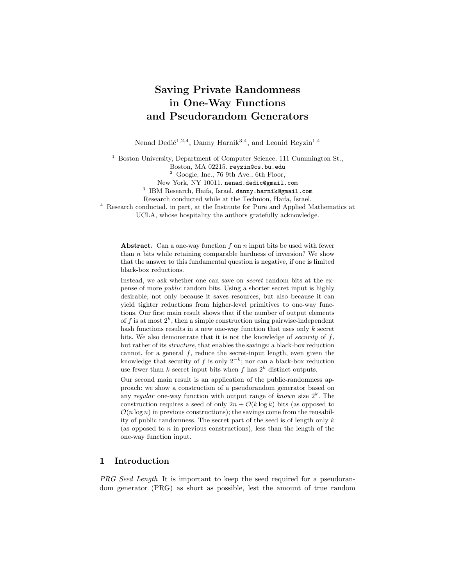# Saving Private Randomness in One-Way Functions and Pseudorandom Generators

Nenad Dedić<sup>1,2,4</sup>, Danny Harnik<sup>3,4</sup>, and Leonid Reyzin<sup>1,4</sup>

<sup>1</sup> Boston University, Department of Computer Science, 111 Cummington St.,

Boston, MA 02215. reyzin@cs.bu.edu

 $2$  Google, Inc., 76 9th Ave., 6th Floor,

New York, NY 10011. nenad.dedic@gmail.com

3 IBM Research, Haifa, Israel. danny.harnik@gmail.com

Research conducted while at the Technion, Haifa, Israel.

<sup>4</sup> Research conducted, in part, at the Institute for Pure and Applied Mathematics at UCLA, whose hospitality the authors gratefully acknowledge.

**Abstract.** Can a one-way function f on n input bits be used with fewer than n bits while retaining comparable hardness of inversion? We show that the answer to this fundamental question is negative, if one is limited black-box reductions.

Instead, we ask whether one can save on secret random bits at the expense of more public random bits. Using a shorter secret input is highly desirable, not only because it saves resources, but also because it can yield tighter reductions from higher-level primitives to one-way functions. Our first main result shows that if the number of output elements of f is at most  $2^k$ , then a simple construction using pairwise-independent hash functions results in a new one-way function that uses only  $k$  secret bits. We also demonstrate that it is not the knowledge of security of  $f$ , but rather of its structure, that enables the savings: a black-box reduction cannot, for a general  $f$ , reduce the secret-input length, even given the knowledge that security of f is only  $2^{-k}$ ; nor can a black-box reduction use fewer than k secret input bits when f has  $2^k$  distinct outputs.

Our second main result is an application of the public-randomness approach: we show a construction of a pseudorandom generator based on any regular one-way function with output range of known size  $2^k$ . The construction requires a seed of only  $2n + \mathcal{O}(k \log k)$  bits (as opposed to  $\mathcal{O}(n \log n)$  in previous constructions); the savings come from the reusability of public randomness. The secret part of the seed is of length only  $k$ (as opposed to  $n$  in previous constructions), less than the length of the one-way function input.

# 1 Introduction

PRG Seed Length It is important to keep the seed required for a pseudorandom generator (PRG) as short as possible, lest the amount of true random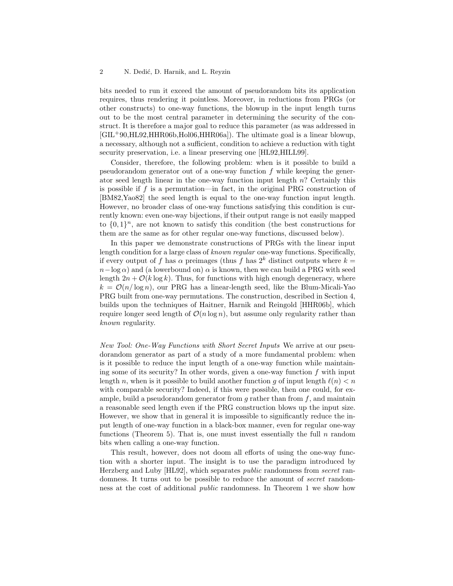### 2 N. Dedić, D. Harnik, and L. Reyzin

bits needed to run it exceed the amount of pseudorandom bits its application requires, thus rendering it pointless. Moreover, in reductions from PRGs (or other constructs) to one-way functions, the blowup in the input length turns out to be the most central parameter in determining the security of the construct. It is therefore a major goal to reduce this parameter (as was addressed in [GIL<sup>+</sup>90,HL92,HHR06b,Hol06,HHR06a]). The ultimate goal is a linear blowup, a necessary, although not a sufficient, condition to achieve a reduction with tight security preservation, i.e. a linear preserving one [HL92,HILL99].

Consider, therefore, the following problem: when is it possible to build a pseudorandom generator out of a one-way function  $f$  while keeping the generator seed length linear in the one-way function input length n? Certainly this is possible if f is a permutation—in fact, in the original PRG construction of [BM82,Yao82] the seed length is equal to the one-way function input length. However, no broader class of one-way functions satisfying this condition is currently known: even one-way bijections, if their output range is not easily mapped to  $\{0,1\}^n$ , are not known to satisfy this condition (the best constructions for them are the same as for other regular one-way functions, discussed below).

In this paper we demonstrate constructions of PRGs with the linear input length condition for a large class of known regular one-way functions. Specifically, if every output of f has  $\alpha$  preimages (thus f has  $2^k$  distinct outputs where  $k =$  $n-\log \alpha$ ) and (a lowerbound on)  $\alpha$  is known, then we can build a PRG with seed length  $2n + \mathcal{O}(k \log k)$ . Thus, for functions with high enough degeneracy, where  $k = \mathcal{O}(n/\log n)$ , our PRG has a linear-length seed, like the Blum-Micali-Yao PRG built from one-way permutations. The construction, described in Section 4, builds upon the techniques of Haitner, Harnik and Reingold [HHR06b], which require longer seed length of  $\mathcal{O}(n \log n)$ , but assume only regularity rather than known regularity.

New Tool: One-Way Functions with Short Secret Inputs We arrive at our pseudorandom generator as part of a study of a more fundamental problem: when is it possible to reduce the input length of a one-way function while maintaining some of its security? In other words, given a one-way function  $f$  with input length n, when is it possible to build another function q of input length  $\ell(n) < n$ with comparable security? Indeed, if this were possible, then one could, for example, build a pseudorandom generator from  $g$  rather than from  $f$ , and maintain a reasonable seed length even if the PRG construction blows up the input size. However, we show that in general it is impossible to significantly reduce the input length of one-way function in a black-box manner, even for regular one-way functions (Theorem 5). That is, one must invest essentially the full  $n$  random bits when calling a one-way function.

This result, however, does not doom all efforts of using the one-way function with a shorter input. The insight is to use the paradigm introduced by Herzberg and Luby [HL92], which separates public randomness from secret randomness. It turns out to be possible to reduce the amount of secret randomness at the cost of additional public randomness. In Theorem 1 we show how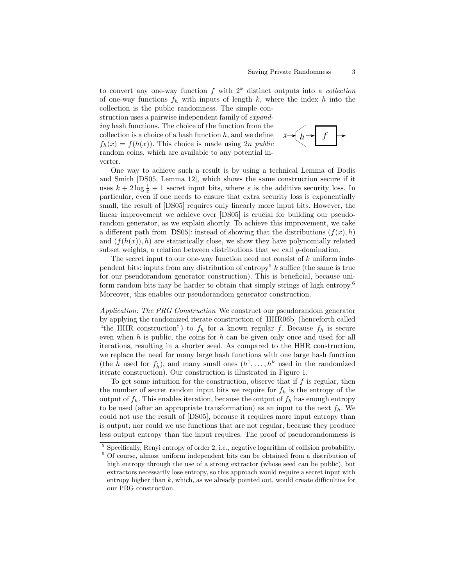to convert any one-way function f with  $2^k$  distinct outputs into a *collection* of one-way functions  $f_h$  with inputs of length k, where the index h into the collection is the public randomness. The simple con-

struction uses a pairwise independent family of expanding hash functions. The choice of the function from the collection is a choice of a hash function  $h$ , and we define  $f_h(x) = f(h(x))$ . This choice is made using 2n public random coins, which are available to any potential inverter.



One way to achieve such a result is by using a technical Lemma of Dodis and Smith [DS05, Lemma 12], which shows the same construction secure if it uses  $k + 2 \log \frac{1}{\varepsilon} + 1$  secret input bits, where  $\varepsilon$  is the additive security loss. In particular, even if one needs to ensure that extra security loss is exponentially small, the result of [DS05] requires only linearly more input bits. However, the linear improvement we achieve over [DS05] is crucial for building our pseudorandom generator, as we explain shortly. To achieve this improvement, we take a different path from [DS05]: instead of showing that the distributions  $(f(x), h)$ and  $(f(h(x)), h)$  are statistically close, we show they have polynomially related subset weights, a relation between distributions that we call  $q$ -domination.

The secret input to our one-way function need not consist of k uniform independent bits: inputs from any distribution of entropy<sup>5</sup> k suffice (the same is true for our pseudorandom generator construction). This is beneficial, because uniform random bits may be harder to obtain that simply strings of high entropy.<sup>6</sup> Moreover, this enables our pseudorandom generator construction.

Application: The PRG Construction We construct our pseudorandom generator by applying the randomized iterate construction of [HHR06b] (henceforth called "the HHR construction") to  $f_h$  for a known regular f. Because  $f_h$  is secure even when  $h$  is public, the coins for  $h$  can be given only once and used for all iterations, resulting in a shorter seed. As compared to the HHR construction, we replace the need for many large hash functions with one large hash function (the  $\hat{h}$  used for  $f_{\hat{h}}$ ), and many small ones  $(h^1, \ldots, h^k$  used in the randomized iterate construction). Our construction is illustrated in Figure 1.

To get some intuition for the construction, observe that if  $f$  is regular, then the number of secret random input bits we require for  $f_h$  is the entropy of the output of  $f_h$ . This enables iteration, because the output of  $f_h$  has enough entropy to be used (after an appropriate transformation) as an input to the next  $f_h$ . We could not use the result of [DS05], because it requires more input entropy than is output; nor could we use functions that are not regular, because they produce less output entropy than the input requires. The proof of pseudorandomness is

<sup>5</sup> Specifically, Renyi entropy of order 2, i.e., negative logarithm of collision probability.

 $6$  Of course, almost uniform independent bits can be obtained from a distribution of high entropy through the use of a strong extractor (whose seed can be public), but extractors necessarily lose entropy, so this approach would require a secret input with entropy higher than  $k$ , which, as we already pointed out, would create difficulties for our PRG construction.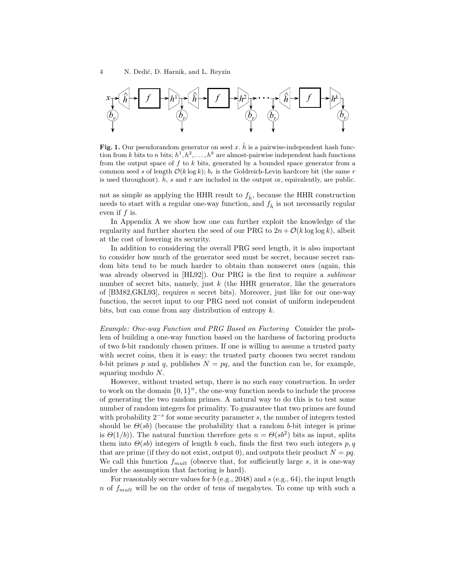

Fig. 1. Our pseudorandom generator on seed x.  $\hat{h}$  is a pairwise-independent hash function from k bits to n bits;  $h^1, h^2, \ldots, h^k$  are almost-pairwise independent hash functions from the output space of  $f$  to  $k$  bits, generated by a bounded space generator from a common seed s of length  $O(k \log k)$ ;  $b_r$  is the Goldreich-Levin hardcore bit (the same r is used throughout).  $\hat{h}$ , s and r are included in the output or, equivalently, are public.

not as simple as applying the HHR result to  $f_{\hat{h}}$ , because the HHR construction needs to start with a regular one-way function, and  $f_{\hat{h}}$  is not necessarily regular even if f is.

In Appendix A we show how one can further exploit the knowledge of the regularity and further shorten the seed of our PRG to  $2n + \mathcal{O}(k \log \log k)$ , albeit at the cost of lowering its security.

In addition to considering the overall PRG seed length, it is also important to consider how much of the generator seed must be secret, because secret random bits tend to be much harder to obtain than nonsecret ones (again, this was already observed in [HL92]). Our PRG is the first to require a *sublinear* number of secret bits, namely, just  $k$  (the HHR generator, like the generators of  $[BMS2, GKL93]$ , requires *n* secret bits). Moreover, just like for our one-way function, the secret input to our PRG need not consist of uniform independent bits, but can come from any distribution of entropy k.

Example: One-way Function and PRG Based on Factoring Consider the problem of building a one-way function based on the hardness of factoring products of two b-bit randomly chosen primes. If one is willing to assume a trusted party with secret coins, then it is easy: the trusted party chooses two secret random b-bit primes p and q, publishes  $N = pq$ , and the function can be, for example, squaring modulo N.

However, without trusted setup, there is no such easy construction. In order to work on the domain  $\{0,1\}^n$ , the one-way function needs to include the process of generating the two random primes. A natural way to do this is to test some number of random integers for primality. To guarantee that two primes are found with probability 2<sup>-s</sup> for some security parameter s, the number of integers tested should be  $\Theta(s_b)$  (because the probability that a random b-bit integer is prime is  $\Theta(1/b)$ . The natural function therefore gets  $n = \Theta(s b^2)$  bits as input, splits them into  $\Theta$ (sb) integers of length b each, finds the first two such integers p, q that are prime (if they do not exist, output 0), and outputs their product  $N = pq$ . We call this function  $f_{mult}$  (observe that, for sufficiently large s, it is one-way under the assumption that factoring is hard).

For reasonably secure values for  $b$  (e.g., 2048) and  $s$  (e.g., 64), the input length n of  $f_{mult}$  will be on the order of tens of megabytes. To come up with such a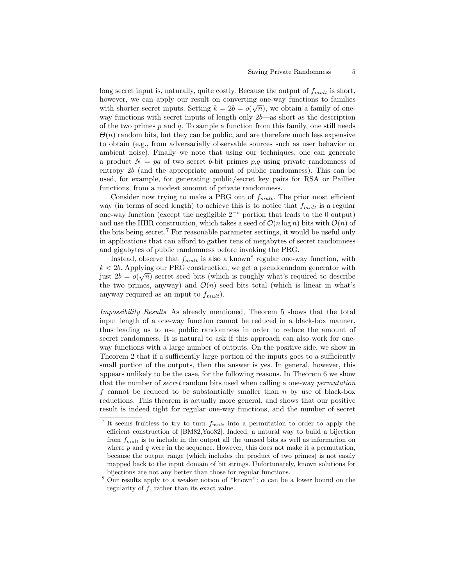long secret input is, naturally, quite costly. Because the output of  $f_{mult}$  is short, however, we can apply our result on converting one-way functions to families with shorter secret inputs. Setting  $k = 2b = o(\sqrt{n})$ , we obtain a family of oneway functions with secret inputs of length only 2b—as short as the description of the two primes  $p$  and  $q$ . To sample a function from this family, one still needs  $\Theta(n)$  random bits, but they can be public, and are therefore much less expensive to obtain (e.g., from adversarially observable sources such as user behavior or ambient noise). Finally we note that using our techniques, one can generate a product  $N = pq$  of two secret b-bit primes p,q using private randomness of entropy 2b (and the appropriate amount of public randomness). This can be used, for example, for generating public/secret key pairs for RSA or Paillier functions, from a modest amount of private randomness.

Consider now trying to make a PRG out of  $f_{mult}$ . The prior most efficient way (in terms of seed length) to achieve this is to notice that  $f_{mult}$  is a regular one-way function (except the negligible 2<sup>−</sup><sup>s</sup> portion that leads to the 0 output) and use the HHR construction, which takes a seed of  $\mathcal{O}(n \log n)$  bits with  $\mathcal{O}(n)$  of the bits being secret.<sup>7</sup> For reasonable parameter settings, it would be useful only in applications that can afford to gather tens of megabytes of secret randomness and gigabytes of public randomness before invoking the PRG.

Instead, observe that  $f_{mult}$  is also a known<sup>8</sup> regular one-way function, with  $k < 2b$ . Applying our PRG construction, we get a pseudorandom generator with just  $2b = o(\sqrt{n})$  secret seed bits (which is roughly what's required to describe the two primes, anyway) and  $\mathcal{O}(n)$  seed bits total (which is linear in what's anyway required as an input to  $f_{mult}$ ).

Impossibility Results As already mentioned, Theorem 5 shows that the total input length of a one-way function cannot be reduced in a black-box manner, thus leading us to use public randomness in order to reduce the amount of secret randomness. It is natural to ask if this approach can also work for oneway functions with a large number of outputs. On the positive side, we show in Theorem 2 that if a sufficiently large portion of the inputs goes to a sufficiently small portion of the outputs, then the answer is yes. In general, however, this appears unlikely to be the case, for the following reasons. In Theorem 6 we show that the number of secret random bits used when calling a one-way permutation f cannot be reduced to be substantially smaller than  $n$  by use of black-box reductions. This theorem is actually more general, and shows that our positive result is indeed tight for regular one-way functions, and the number of secret

<sup>&</sup>lt;sup>7</sup> It seems fruitless to try to turn  $f_{mult}$  into a permutation to order to apply the efficient construction of [BM82,Yao82]. Indeed, a natural way to build a bijection from  $f_{mult}$  is to include in the output all the unused bits as well as information on where  $p$  and  $q$  were in the sequence. However, this does not make it a permutation, because the output range (which includes the product of two primes) is not easily mapped back to the input domain of bit strings. Unfortunately, known solutions for bijections are not any better than those for regular functions.

<sup>&</sup>lt;sup>8</sup> Our results apply to a weaker notion of "known":  $\alpha$  can be a lower bound on the regularity of  $f$ , rather than its exact value.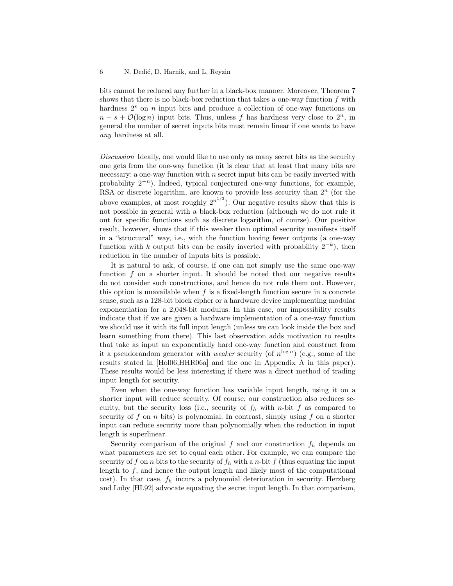bits cannot be reduced any further in a black-box manner. Moreover, Theorem 7 shows that there is no black-box reduction that takes a one-way function  $f$  with hardness  $2<sup>s</sup>$  on n input bits and produce a collection of one-way functions on  $n - s + \mathcal{O}(\log n)$  input bits. Thus, unless f has hardness very close to  $2^n$ , in general the number of secret inputs bits must remain linear if one wants to have any hardness at all.

Discussion Ideally, one would like to use only as many secret bits as the security one gets from the one-way function (it is clear that at least that many bits are necessary: a one-way function with  $n$  secret input bits can be easily inverted with probability  $2^{-n}$ ). Indeed, typical conjectured one-way functions, for example, RSA or discrete logarithm, are known to provide less security than  $2<sup>n</sup>$  (for the above examples, at most roughly  $2^{n^{1/3}}$ ). Our negative results show that this is not possible in general with a black-box reduction (although we do not rule it out for specific functions such as discrete logarithm, of course). Our positive result, however, shows that if this weaker than optimal security manifests itself in a "structural" way, i.e., with the function having fewer outputs (a one-way function with k output bits can be easily inverted with probability  $2^{-k}$ ), then reduction in the number of inputs bits is possible.

It is natural to ask, of course, if one can not simply use the same one-way function f on a shorter input. It should be noted that our negative results do not consider such constructions, and hence do not rule them out. However, this option is unavailable when  $f$  is a fixed-length function secure in a concrete sense, such as a 128-bit block cipher or a hardware device implementing modular exponentiation for a 2,048-bit modulus. In this case, our impossibility results indicate that if we are given a hardware implementation of a one-way function we should use it with its full input length (unless we can look inside the box and learn something from there). This last observation adds motivation to results that take as input an exponentially hard one-way function and construct from it a pseudorandom generator with *weaker* security (of  $n^{\log n}$ ) (e.g., some of the results stated in [Hol06,HHR06a] and the one in Appendix A in this paper). These results would be less interesting if there was a direct method of trading input length for security.

Even when the one-way function has variable input length, using it on a shorter input will reduce security. Of course, our construction also reduces security, but the security loss (i.e., security of  $f<sub>h</sub>$  with n-bit f as compared to security of f on n bits) is polynomial. In contrast, simply using f on a shorter input can reduce security more than polynomially when the reduction in input length is superlinear.

Security comparison of the original f and our construction  $f_h$  depends on what parameters are set to equal each other. For example, we can compare the security of f on n bits to the security of  $f_h$  with a n-bit f (thus equating the input length to  $f$ , and hence the output length and likely most of the computational cost). In that case,  $f_h$  incurs a polynomial deterioration in security. Herzberg and Luby [HL92] advocate equating the secret input length. In that comparison,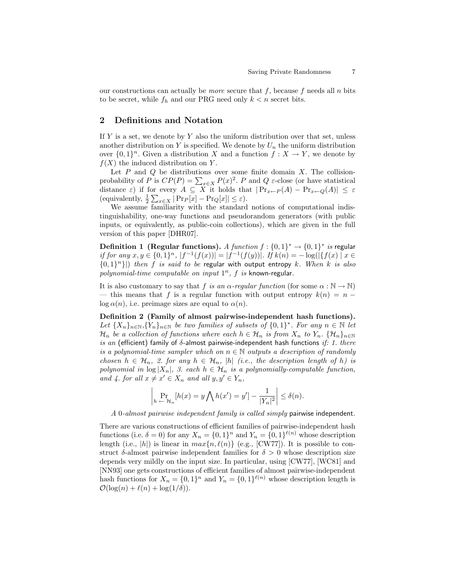our constructions can actually be *more* secure that  $f$ , because  $f$  needs all  $n$  bits to be secret, while  $f_h$  and our PRG need only  $k < n$  secret bits.

# 2 Definitions and Notation

If Y is a set, we denote by Y also the uniform distribution over that set, unless another distribution on Y is specified. We denote by  $U_n$  the uniform distribution over  $\{0,1\}^n$ . Given a distribution X and a function  $f: X \to Y$ , we denote by  $f(X)$  the induced distribution on Y.

Let  $P$  and  $Q$  be distributions over some finite domain  $X$ . The collisionprobability of P is  $CP(P) = \sum_{x \in X} P(x)^2$ . P and Q  $\varepsilon$ -close (or have statistical distance  $\varepsilon$ ) if for every  $A \subseteq X$  it holds that  $|\Pr_{x \leftarrow P}(A) - \Pr_{x \leftarrow Q}(A)| \leq \varepsilon$ (equivalently,  $\frac{1}{2} \sum_{x \in X} |\Pr_P[x] - \Pr_Q[x]| \leq \varepsilon$ ).

We assume familiarity with the standard notions of computational indistinguishability, one-way functions and pseudorandom generators (with public inputs, or equivalently, as public-coin collections), which are given in the full version of this paper [DHR07].

**Definition 1 (Regular functions).** A function  $f: \{0,1\}^* \to \{0,1\}^*$  is regular if for any  $x, y \in \{0,1\}^n$ ,  $|f^{-1}(f(x))| = |f^{-1}(f(y))|$ . If  $k(n) = -\log(|\{f(x) \mid x \in$  ${0,1}^n$ ]) then f is said to be regular with output entropy k. When k is also polynomial-time computable on input  $1^n$ ,  $f$  is known-regular.

It is also customary to say that f is an  $\alpha$ -regular function (for some  $\alpha : \mathbb{N} \to \mathbb{N}$ ) — this means that f is a regular function with output entropy  $k(n) = n \log \alpha(n)$ , i.e. preimage sizes are equal to  $\alpha(n)$ .

Definition 2 (Family of almost pairwise-independent hash functions). Let  $\{X_n\}_{n\in\mathbb{N}}, \{Y_n\}_{n\in\mathbb{N}}$  be two families of subsets of  $\{0,1\}^*$ . For any  $n \in \mathbb{N}$  let  $\mathcal{H}_n$  be a collection of functions where each  $h \in \mathcal{H}_n$  is from  $X_n$  to  $Y_n$ .  $\{\mathcal{H}_n\}_{n\in\mathbb{N}}$ is an (efficient) family of  $\delta$ -almost pairwise-independent hash functions if: 1. there is a polynomial-time sampler which on  $n \in \mathbb{N}$  outputs a description of randomly chosen  $h \in \mathcal{H}_n$ , 2. for any  $h \in \mathcal{H}_n$ , |h| (i.e., the description length of h) is polynomial in  $\log |X_n|$ , 3. each  $h \in \mathcal{H}_n$  is a polynomially-computable function, and 4. for all  $x \neq x' \in X_n$  and all  $y, y' \in Y_n$ ,

$$
\left| \Pr_{h \leftarrow \mathcal{H}_n} [h(x) = y \bigwedge h(x') = y'] - \frac{1}{|Y_n|^2} \right| \le \delta(n).
$$

A 0-almost pairwise independent family is called simply pairwise independent.

There are various constructions of efficient families of pairwise-independent hash functions (i.e.  $\delta = 0$ ) for any  $X_n = \{0, 1\}^n$  and  $Y_n = \{0, 1\}^{\ell(n)}$  whose description length (i.e., |h|) is linear in  $max\{n, \ell(n)\}$  (e.g., [CW77]). It is possible to construct  $\delta$ -almost pairwise independent families for  $\delta > 0$  whose description size depends very mildly on the input size. In particular, using [CW77], [WC81] and [NN93] one gets constructions of efficient families of almost pairwise-independent hash functions for  $X_n = \{0,1\}^n$  and  $Y_n = \{0,1\}^{\ell(n)}$  whose description length is  $\mathcal{O}(\log(n) + \ell(n) + \log(1/\delta)).$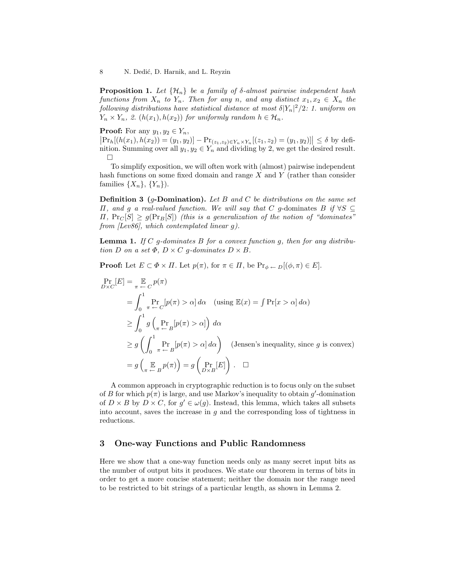**Proposition 1.** Let  $\{\mathcal{H}_n\}$  be a family of  $\delta$ -almost pairwise independent hash functions from  $X_n$  to  $Y_n$ . Then for any n, and any distinct  $x_1, x_2 \in X_n$  the following distributions have statistical distance at most  $\delta |Y_n|^2/2$ : 1. uniform on  $Y_n \times Y_n$ , 2.  $(h(x_1), h(x_2))$  for uniformly random  $h \in \mathcal{H}_n$ .

### **Proof:** For any  $y_1, y_2 \in Y_n$ ,

 $\left|\Pr_h[(h(x_1), h(x_2)) = (y_1, y_2)] - \Pr_{(z_1, z_2) \in Y_n \times Y_n}[(z_1, z_2) = (y_1, y_2)]\right| \le \delta$  by definition. Summing over all  $y_1, y_2 \in Y_n$  and dividing by 2, we get the desired result.  $\Box$ 

To simplify exposition, we will often work with (almost) pairwise independent hash functions on some fixed domain and range  $X$  and  $Y$  (rather than consider families  $\{X_n\}, \{Y_n\}$ .

**Definition 3** (*g*-Domination). Let B and C be distributions on the same set  $\Pi$ , and g a real-valued function. We will say that C g-dominates B if ∀S ⊆  $\Pi$ ,  $Pr_C[S] \geq g(Pr_B[S])$  (this is a generalization of the notion of "dominates" from [Lev86], which contemplated linear g).

**Lemma 1.** If  $C$  g-dominates  $B$  for a convex function  $g$ , then for any distribution D on a set  $\Phi$ ,  $D \times C$  g-dominates  $D \times B$ .

**Proof:** Let  $E \subset \Phi \times \Pi$ . Let  $p(\pi)$ , for  $\pi \in \Pi$ , be  $\Pr_{\phi \leftarrow D}[(\phi, \pi) \in E]$ .

$$
\Pr_{D \times C}[E] = \underset{\pi \to C}{\mathbb{E}} p(\pi)
$$
\n
$$
= \int_{0}^{1} \Pr_{\pi \to C}[p(\pi) > \alpha] d\alpha \quad \text{(using } \mathbb{E}(x) = \int \Pr[x > \alpha] d\alpha\text{)}
$$
\n
$$
\geq \int_{0}^{1} g\left(\underset{\pi \to B}{\Pr}[p(\pi) > \alpha]\right) d\alpha
$$
\n
$$
\geq g\left(\int_{0}^{1} \Pr_{\pi \to B}[p(\pi) > \alpha] d\alpha\right) \quad \text{(Jensen's inequality, since } g \text{ is convex)}
$$
\n
$$
= g\left(\underset{\pi \to B}{\mathbb{E}} p(\pi)\right) = g\left(\underset{D \times B}{\Pr}[E]\right). \quad \Box
$$

A common approach in cryptographic reduction is to focus only on the subset of B for which  $p(\pi)$  is large, and use Markov's inequality to obtain g'-domination of  $D \times B$  by  $D \times C$ , for  $g' \in \omega(g)$ . Instead, this lemma, which takes all subsets into account, saves the increase in  $g$  and the corresponding loss of tightness in reductions.

# 3 One-way Functions and Public Randomness

Here we show that a one-way function needs only as many secret input bits as the number of output bits it produces. We state our theorem in terms of bits in order to get a more concise statement; neither the domain nor the range need to be restricted to bit strings of a particular length, as shown in Lemma 2.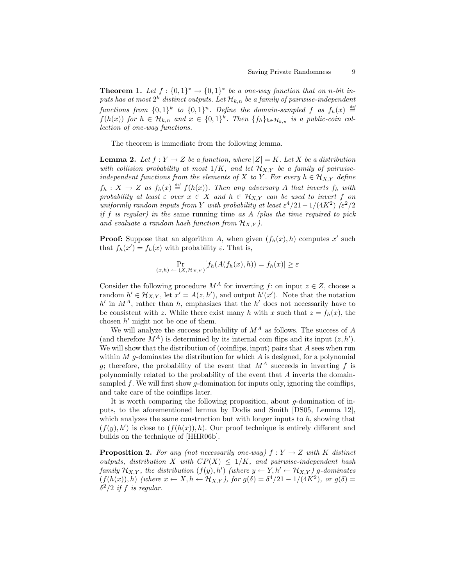**Theorem 1.** Let  $f: \{0,1\}^* \to \{0,1\}^*$  be a one-way function that on n-bit inputs has at most  $2^k$  distinct outputs. Let  $\mathcal{H}_{k,n}$  be a family of pairwise-independent functions from  $\{0,1\}^k$  to  $\{0,1\}^n$ . Define the domain-sampled f as  $f_h(x) \stackrel{\text{def}}{=}$  $f(h(x))$  for  $h \in \mathcal{H}_{k,n}$  and  $x \in \{0,1\}^k$ . Then  $\{f_h\}_{h \in \mathcal{H}_{k,n}}$  is a public-coin collection of one-way functions.

The theorem is immediate from the following lemma.

**Lemma 2.** Let  $f: Y \to Z$  be a function, where  $|Z| = K$ . Let X be a distribution with collision probability at most  $1/K$ , and let  $\mathcal{H}_{X,Y}$  be a family of pairwiseindependent functions from the elements of X to Y. For every  $h \in \mathcal{H}_{X,Y}$  define  $f_h: X \to Z$  as  $f_h(x) \triangleq f(h(x))$ . Then any adversary A that inverts  $f_h$  with probability at least  $\varepsilon$  over  $x \in X$  and  $h \in \mathcal{H}_{X,Y}$  can be used to invert f on uniformly random inputs from Y with probability at least  $\varepsilon^4/21-1/(4K^2)$  ( $\varepsilon^2/2$ ) if f is regular) in the same running time as  $A$  (plus the time required to pick and evaluate a random hash function from  $\mathcal{H}_{X,Y}$ ).

**Proof:** Suppose that an algorithm A, when given  $(f_h(x), h)$  computes x' such that  $f_h(x') = f_h(x)$  with probability  $\varepsilon$ . That is,

$$
\Pr_{(x,h)\leftarrow(X,\mathcal{H}_{X,Y})}[f_h(A(f_h(x),h)) = f_h(x)] \ge \varepsilon
$$

Consider the following procedure  $M^A$  for inverting f: on input  $z \in Z$ , choose a random  $h' \in \mathcal{H}_{X,Y}$ , let  $x' = A(z, h')$ , and output  $h'(x')$ . Note that the notation  $h'$  in  $M^A$ , rather than h, emphasizes that the h' does not necessarily have to be consistent with z. While there exist many h with x such that  $z = f_h(x)$ , the chosen  $h'$  might not be one of them.

We will analyze the success probability of  $M^A$  as follows. The success of A (and therefore  $M^A$ ) is determined by its internal coin flips and its input  $(z, h')$ . We will show that the distribution of (coinflips, input) pairs that  $A$  sees when run within  $M$  g-dominates the distribution for which  $A$  is designed, for a polynomial g; therefore, the probability of the event that  $M^A$  succeeds in inverting f is polynomially related to the probability of the event that A inverts the domainsampled  $f$ . We will first show  $g$ -domination for inputs only, ignoring the coinflips, and take care of the coinflips later.

It is worth comparing the following proposition, about  $q$ -domination of inputs, to the aforementioned lemma by Dodis and Smith [DS05, Lemma 12], which analyzes the same construction but with longer inputs to  $h$ , showing that  $(f(y), h')$  is close to  $(f(h(x)), h)$ . Our proof technique is entirely different and builds on the technique of [HHR06b].

**Proposition 2.** For any (not necessarily one-way)  $f: Y \rightarrow Z$  with K distinct outputs, distribution X with  $CP(X) \leq 1/K$ , and pairwise-independent hash family  $\mathcal{H}_{X,Y}$ , the distribution  $(f(y), h')$  (where  $y \leftarrow Y, h' \leftarrow \mathcal{H}_{X,Y}$ ) g-dominates  $(f(h(x)), h)$  (where  $x \leftarrow X, h \leftarrow \mathcal{H}_{X,Y}$ ), for  $g(\delta) = \delta^4/21 - 1/(4K^2)$ , or  $g(\delta) =$  $\delta^2/2$  if f is regular.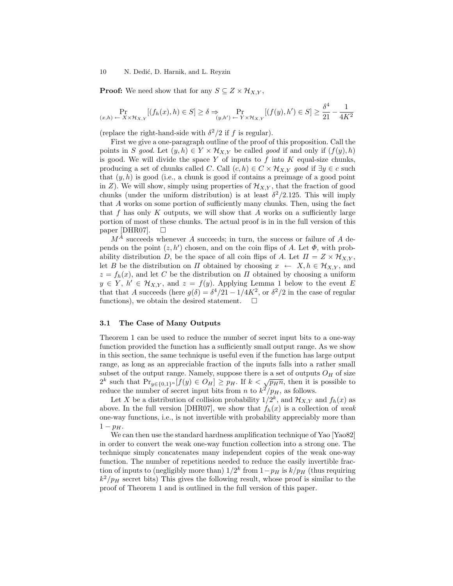### 10 N. Dedić, D. Harnik, and L. Reyzin

**Proof:** We need show that for any  $S \subseteq Z \times \mathcal{H}_{X,Y}$ ,

$$
\Pr_{(x,h) \leftarrow X \times \mathcal{H}_{X,Y}}[(f_h(x),h) \in S] \ge \delta \Rightarrow \Pr_{(y,h') \leftarrow Y \times \mathcal{H}_{X,Y}}[(f(y),h') \in S] \ge \frac{\delta^4}{21} - \frac{1}{4K^2}
$$

(replace the right-hand-side with  $\delta^2/2$  if f is regular).

First we give a one-paragraph outline of the proof of this proposition. Call the points in S good. Let  $(y, h) \in Y \times \mathcal{H}_{X,Y}$  be called good if and only if  $(f(y), h)$ is good. We will divide the space Y of inputs to  $f$  into  $K$  equal-size chunks, producing a set of chunks called C. Call  $(c, h) \in C \times \mathcal{H}_{X,Y}$  good if  $\exists y \in c$  such that  $(y, h)$  is good (i.e., a chunk is good if contains a preimage of a good point in Z). We will show, simply using properties of  $\mathcal{H}_{X,Y}$ , that the fraction of good chunks (under the uniform distribution) is at least  $\delta^2/2.125$ . This will imply that A works on some portion of sufficiently many chunks. Then, using the fact that f has only K outputs, we will show that A works on a sufficiently large portion of most of these chunks. The actual proof is in in the full version of this paper [DHR07].  $\Box$ 

 $M^{\tilde{A}}$  succeeds whenever A succeeds; in turn, the success or failure of A depends on the point  $(z, h')$  chosen, and on the coin flips of A. Let  $\Phi$ , with probability distribution D, be the space of all coin flips of A. Let  $\Pi = Z \times \mathcal{H}_{X,Y}$ , let B be the distribution on  $\Pi$  obtained by choosing  $x \leftarrow X, h \in \mathcal{H}_{X,Y}$ , and  $z = f_h(x)$ , and let C be the distribution on  $\Pi$  obtained by choosing a uniform  $y \in Y$ ,  $h' \in \mathcal{H}_{X,Y}$ , and  $z = f(y)$ . Applying Lemma 1 below to the event E that that A succeeds (here  $g(\delta) = \delta^4/21 - 1/4K^2$ , or  $\delta^2/2$  in the case of regular functions), we obtain the desired statement.  $\Box$ 

### 3.1 The Case of Many Outputs

Theorem 1 can be used to reduce the number of secret input bits to a one-way function provided the function has a sufficiently small output range. As we show in this section, the same technique is useful even if the function has large output range, as long as an appreciable fraction of the inputs falls into a rather small subset of the output range. Namely, suppose there is a set of outputs  $O_H$  of size subset of the output range. Namely, suppose there is a set of outputs  $O_H$  or size  $2^k$  such that  $\Pr_{y \in \{0,1\}^n}[f(y) \in O_H] \geq p_H$ . If  $k < \sqrt{p_H n}$ , then it is possible to reduce the number of secret input bits from *n* to  $k^2/p_H$ , as follows.

Let X be a distribution of collision probability  $1/2^k$ , and  $\mathcal{H}_{X,Y}$  and  $f_h(x)$  as above. In the full version [DHR07], we show that  $f_h(x)$  is a collection of weak one-way functions, i.e., is not invertible with probability appreciably more than  $1 - p_H$ .

We can then use the standard hardness amplification technique of Yao [Yao82] in order to convert the weak one-way function collection into a strong one. The technique simply concatenates many independent copies of the weak one-way function. The number of repetitions needed to reduce the easily invertible fraction of inputs to (negligibly more than)  $1/2^k$  from  $1-p_H$  is  $k/p_H$  (thus requiring  $k^2/p_H$  secret bits) This gives the following result, whose proof is similar to the proof of Theorem 1 and is outlined in the full version of this paper.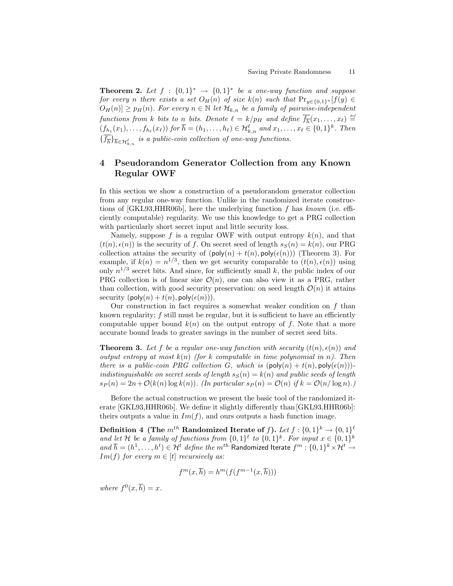**Theorem 2.** Let  $f : \{0,1\}^* \rightarrow \{0,1\}^*$  be a one-way function and suppose for every n there exists a set  $O_H(n)$  of size  $k(n)$  such that  $Pr_{y \in \{0,1\}^n}[f(y)] \in$  $O_H(n) \geq p_H(n)$ . For every  $n \in \mathbb{N}$  let  $\mathcal{H}_{k,n}$  be a family of pairwise-independent functions from k bits to n bits. Denote  $\ell = k/p_H$  and define  $\overline{f_{\overline{h}}}(x_1,\ldots,x_\ell) \stackrel{\scriptscriptstyle def}{=}$  $(f_{h_1}(x_1),...,f_{h_\ell}(x_\ell))$  for  $\overline{h} = (h_1,...,h_\ell) \in \mathcal{H}_{k,n}^{\ell}$  and  $x_1,...,x_\ell \in \{0,1\}^k$ . Then  ${\{\overline{f_h}\}}_{\overline{h}\in\mathcal{H}_{k,n}^\ell}$  is a public-coin collection of one-way functions.

# 4 Pseudorandom Generator Collection from any Known Regular OWF

In this section we show a construction of a pseudorandom generator collection from any regular one-way function. Unlike in the randomized iterate constructions of [GKL93,HHR06b], here the underlying function f has known (i.e. efficiently computable) regularity. We use this knowledge to get a PRG collection with particularly short secret input and little security loss.

Namely, suppose f is a regular OWF with output entropy  $k(n)$ , and that  $(t(n), \epsilon(n))$  is the security of f. On secret seed of length  $s_S(n) = k(n)$ , our PRG collection attains the security of  $(\text{poly}(n) + t(n), \text{poly}(\epsilon(n)))$  (Theorem 3). For example, if  $k(n) = n^{1/3}$ , then we get security comparable to  $(t(n), \epsilon(n))$  using only  $n^{1/3}$  secret bits. And since, for sufficiently small k, the public index of our PRG collection is of linear size  $\mathcal{O}(n)$ , one can also view it as a PRG, rather than collection, with good security preservation: on seed length  $\mathcal{O}(n)$  it attains security  $(\text{poly}(n) + t(n), \text{poly}(\epsilon(n))).$ 

Our construction in fact requires a somewhat weaker condition on f than known regularity:  $f$  still must be regular, but it is sufficient to have an efficiently computable upper bound  $k(n)$  on the output entropy of f. Note that a more accurate bound leads to greater savings in the number of secret seed bits.

**Theorem 3.** Let f be a regular one-way function with security  $(t(n), \epsilon(n))$  and output entropy at most  $k(n)$  (for k computable in time polynomial in n). Then there is a public-coin PRG collection G, which is  $(\text{poly}(n) + t(n), \text{poly}(\epsilon(n)))$ indistinguishable on secret seeds of length  $s_S(n) = k(n)$  and public seeds of length  $s_P(n) = 2n + \mathcal{O}(k(n) \log k(n))$ . (In particular  $s_P(n) = \mathcal{O}(n)$  if  $k = \mathcal{O}(n/\log n)$ .)

Before the actual construction we present the basic tool of the randomized iterate [GKL93,HHR06b]. We define it slightly differently than [GKL93,HHR06b]: theirs outputs a value in  $Im(f)$ , and ours outputs a hash function image.

Definition 4 (The  $m^{th}$  Randomized Iterate of f). Let  $f:\{0,1\}^k \rightarrow \{0,1\}^\ell$ and let H be a family of functions from  $\{0,1\}^{\ell}$  to  $\{0,1\}^k$ . For input  $x \in \{0,1\}^k$ and  $\overline{h}=(h^1,\ldots,h^t)\in\mathcal{H}^t$  define the  $m^{th}$  Randomized Iterate  $f^m:\{0,1\}^k\times\mathcal{H}^t\to$  $Im(f)$  for every  $m \in [t]$  recursively as:

$$
f^{m}(x,\overline{h}) = h^{m}(f(f^{m-1}(x,\overline{h})))
$$

where  $f^{0}(x,\overline{h})=x$ .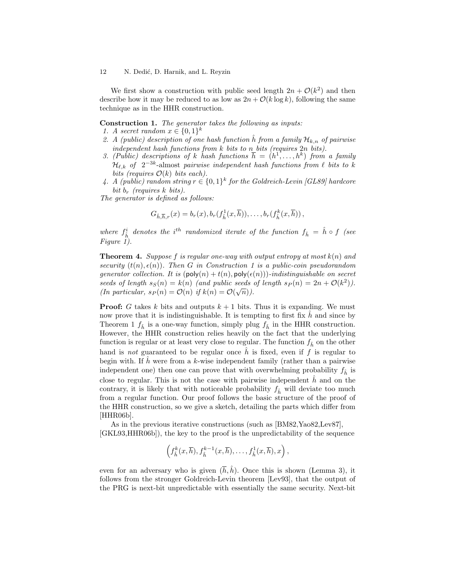### 12 N. Dedić, D. Harnik, and L. Reyzin

We first show a construction with public seed length  $2n + \mathcal{O}(k^2)$  and then describe how it may be reduced to as low as  $2n + \mathcal{O}(k \log k)$ , following the same technique as in the HHR construction.

Construction 1. The generator takes the following as inputs:

- 1. A secret random  $x \in \{0,1\}^k$
- 2. A (public) description of one hash function  $\hat{h}$  from a family  $\mathcal{H}_{k,n}$  of pairwise independent hash functions from  $k$  bits to  $n$  bits (requires  $2n$  bits).
- 3. (Public) descriptions of k hash functions  $\overline{h} = (h^1, \ldots, h^k)$  from a family  $\mathcal{H}_{\ell,k}$  of  $2^{-3k}$ -almost pairwise independent hash functions from  $\ell$  bits to k bits (requires  $\mathcal{O}(k)$  bits each).
- 4. A (public) random string  $r \in \{0,1\}^k$  for the Goldreich-Levin [GL89] hardcore bit  $b_r$  (requires k bits).

The generator is defined as follows:

$$
G_{\hat{h},\overline{h},r}(x) = b_r(x), b_r(f_{\hat{h}}^1(x,\overline{h})), \ldots, b_r(f_{\hat{h}}^k(x,\overline{h}))
$$

where  $f_{\hat{h}}^i$  denotes the i<sup>th</sup> randomized iterate of the function  $f_{\hat{h}} = \hat{h} \circ f$  (see Figure 1).

**Theorem 4.** Suppose f is regular one-way with output entropy at most  $k(n)$  and security  $(t(n), \epsilon(n))$ . Then G in Construction 1 is a public-coin pseudorandom generator collection. It is  $(\text{poly}(n) + t(n), \text{poly}(\epsilon(n)))$ -indistinguishable on secret seeds of length  $s_S(n) = k(n)$  (and public seeds of length  $s_P(n) = 2n + \mathcal{O}(k^2)$ ). (In particular,  $s_P(n) = \mathcal{O}(n)$  if  $k(n) = \mathcal{O}(\sqrt{n})$ ).

**Proof:** G takes k bits and outputs  $k + 1$  bits. Thus it is expanding. We must now prove that it is indistinguishable. It is tempting to first fix  $h$  and since by Theorem 1  $f_{\hat{h}}$  is a one-way function, simply plug  $f_{\hat{h}}$  in the HHR construction. However, the HHR construction relies heavily on the fact that the underlying function is regular or at least very close to regular. The function  $f_{\hat{h}}$  on the other hand is not guaranteed to be regular once  $\hat{h}$  is fixed, even if f is regular to begin with. If  $\hat{h}$  were from a k-wise independent family (rather than a pairwise independent one) then one can prove that with overwhelming probability  $f_{\hat{h}}$  is close to regular. This is not the case with pairwise independent  $\hat{h}$  and on the contrary, it is likely that with noticeable probability  $f_{\hat{h}}$  will deviate too much from a regular function. Our proof follows the basic structure of the proof of the HHR construction, so we give a sketch, detailing the parts which differ from [HHR06b].

As in the previous iterative constructions (such as [BM82,Yao82,Lev87], [GKL93,HHR06b]), the key to the proof is the unpredictability of the sequence

$$
\left(f_{\hat{h}}^k(x,\overline{h}),f_{\hat{h}}^{k-1}(x,\overline{h}),\ldots,f_{\hat{h}}^1(x,\overline{h}),x\right),\right
$$

even for an adversary who is given  $(\bar{h}, \hat{h})$ . Once this is shown (Lemma 3), it follows from the stronger Goldreich-Levin theorem [Lev93], that the output of the PRG is next-bit unpredictable with essentially the same security. Next-bit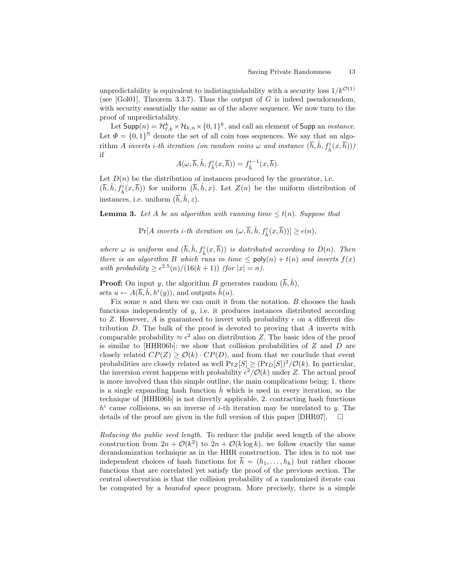unpredictability is equivalent to indistinguishability with a security loss  $1/k^{\mathcal{O}(1)}$ (see [Gol01], Theorem 3.3.7). Thus the output of G is indeed pseudorandom, with security essentially the same as of the above sequence. We now turn to the proof of unpredictability.

Let  $\mathsf{Supp}(n) = \mathcal{H}_{\ell,k}^k\times\mathcal{H}_{k,n}\times\{0,1\}^k,$  and call an element of  $\mathsf{Supp}$  an *instance*. Let  $\Phi = \{0,1\}^{\mathbb{N}}$  denote the set of all coin toss sequences. We say that an algorithm A inverts i-th iteration (on random coins  $\omega$  and instance  $(\bar{h}, \hat{h}, f^i_{\hat{h}}(x, \bar{h}))$ ) if

$$
A(\omega, \overline{h}, \hat{h}, f_{\hat{h}}^i(x, \overline{h})) = f_{\hat{h}}^{i-1}(x, \overline{h}).
$$

Let  $D(n)$  be the distribution of instances produced by the generator, i.e.  $(\overline{h}, \hat{h}, f^i_{\hat{h}}(x, \overline{h}))$  for uniform  $(\overline{h}, \hat{h}, x)$ . Let  $Z(n)$  be the uniform distribution of instances, i.e. uniform  $(\bar{h}, \hat{h}, z)$ .

**Lemma 3.** Let A be an algorithm with running time  $\leq t(n)$ . Suppose that

 $\Pr[A \text{ inverts } i\text{-}th \text{ iteration on } (\omega, \overline{h}, \hat{h}, f_{\hat{h}}^i(x, \overline{h}))] \geq \epsilon(n),$ 

where  $\omega$  is uniform and  $(\bar{h}, \hat{h}, f^i_{\hat{h}}(x, \bar{h}))$  is distributed according to  $D(n)$ . Then there is an algorithm B which runs in time  $\leq$  poly $(n) + t(n)$  and inverts  $f(x)$ with probability  $\geq \epsilon^{2.5}(n)/(16(k+1))$  (for  $|x|=n$ ).

**Proof:** On input y, the algorithm B generates random  $(\bar{h}, \hat{h})$ , sets  $u \leftarrow A(\overline{h}, \hat{h}, h^i(y))$ , and outputs  $\hat{h}(u)$ .

Fix some  $n$  and then we can omit it from the notation.  $B$  chooses the hash functions independently of  $y$ , i.e. it produces instances distributed according to Z. However, A is guaranteed to invert with probability  $\epsilon$  on a different distribution  $D$ . The bulk of the proof is devoted to proving that  $A$  inverts with comparable probability  $\approx \epsilon^2$  also on distribution Z. The basic idea of the proof is similar to  $[HHR06b]$ : we show that collision probabilities of  $Z$  and  $D$  are closely related  $CP(Z) > \mathcal{O}(k) \cdot CP(D)$ , and from that we conclude that event probabilities are closely related as well  $Pr_Z[S] \geq (Pr_D[S])^2/\mathcal{O}(k)$ . In particular, the inversion event happens with probability  $\epsilon^2/\mathcal{O}(k)$  under Z. The actual proof is more involved than this simple outline, the main complications being: 1. there is a single expanding hash function  $h$  which is used in every iteration, so the technique of [HHR06b] is not directly applicable, 2. contracting hash functions  $h^{i}$  cause collisions, so an inverse of *i*-th iteration may be unrelated to y. The details of the proof are given in the full version of this paper [DHR07].  $\Box$ 

Reducing the public seed length. To reduce the public seed length of the above construction from  $2n + \mathcal{O}(k^2)$  to  $2n + \mathcal{O}(k \log k)$ , we follow exactly the same derandomization technique as in the HHR construction. The idea is to not use independent choices of hash functions for  $\bar{h} = (h_1, \ldots, h_k)$  but rather choose functions that are correlated yet satisfy the proof of the previous section. The central observation is that the collision probability of a randomized iterate can be computed by a bounded space program. More precisely, there is a simple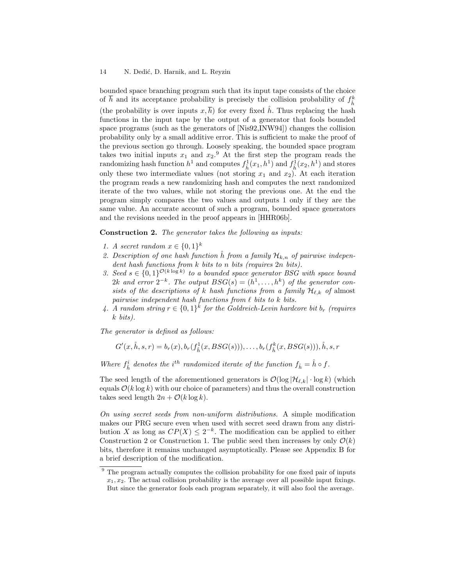bounded space branching program such that its input tape consists of the choice of  $\bar{h}$  and its acceptance probability is precisely the collision probability of  $f_{\hat{h}}^k$ (the probability is over inputs  $x, \overline{h}$ ) for every fixed  $\hat{h}$ . Thus replacing the hash functions in the input tape by the output of a generator that fools bounded space programs (such as the generators of [Nis92,INW94]) changes the collision probability only by a small additive error. This is sufficient to make the proof of the previous section go through. Loosely speaking, the bounded space program takes two initial inputs  $x_1$  and  $x_2$ .<sup>9</sup> At the first step the program reads the randomizing hash function  $h^1$  and computes  $f^1_{\hat{h}}(x_1, h^1)$  and  $f^1_{\hat{h}}(x_2, h^1)$  and stores only these two intermediate values (not storing  $x_1$  and  $x_2$ ). At each iteration the program reads a new randomizing hash and computes the next randomized iterate of the two values, while not storing the previous one. At the end the program simply compares the two values and outputs 1 only if they are the same value. An accurate account of such a program, bounded space generators and the revisions needed in the proof appears in [HHR06b].

Construction 2. The generator takes the following as inputs:

- 1. A secret random  $x \in \{0,1\}^k$
- 2. Description of one hash function  $\hat{h}$  from a family  $\mathcal{H}_{k,n}$  of pairwise independent hash functions from k bits to n bits (requires  $2n$  bits).
- 3. Seed  $s \in \{0,1\}^{\mathcal{O}(k \log k)}$  to a bounded space generator BSG with space bound 2k and error  $2^{-k}$ . The output  $BSG(s) = (h^1, \ldots, h^k)$  of the generator consists of the descriptions of k hash functions from a family  $\mathcal{H}_{\ell,k}$  of almost pairwise independent hash functions from  $\ell$  bits to k bits.
- 4. A random string  $r \in \{0,1\}^k$  for the Goldreich-Levin hardcore bit  $b_r$  (requires k bits).

The generator is defined as follows:

 $G'(x, \hat{h}, s, r) = b_r(x), b_r(f_{\hat{h}}^1(x, BSG(s))), \dots, b_r(f_{\hat{h}}^k(x, BSG(s))), \hat{h}, s, r$ 

Where  $f_{\hat{h}}^i$  denotes the i<sup>th</sup> randomized iterate of the function  $f_{\hat{h}} = \hat{h} \circ f$ .

The seed length of the aforementioned generators is  $\mathcal{O}(\log |\mathcal{H}_{\ell,k}| \cdot \log k)$  (which equals  $\mathcal{O}(k \log k)$  with our choice of parameters) and thus the overall construction takes seed length  $2n + \mathcal{O}(k \log k)$ .

On using secret seeds from non-uniform distributions. A simple modification makes our PRG secure even when used with secret seed drawn from any distribution X as long as  $CP(X) \leq 2^{-k}$ . The modification can be applied to either Construction 2 or Construction 1. The public seed then increases by only  $\mathcal{O}(k)$ bits, therefore it remains unchanged asymptotically. Please see Appendix B for a brief description of the modification.

<sup>&</sup>lt;sup>9</sup> The program actually computes the collision probability for one fixed pair of inputs  $x_1, x_2$ . The actual collision probability is the average over all possible input fixings. But since the generator fools each program separately, it will also fool the average.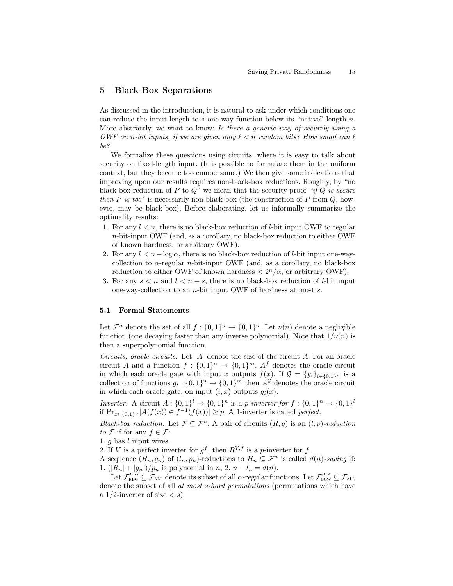# 5 Black-Box Separations

As discussed in the introduction, it is natural to ask under which conditions one can reduce the input length to a one-way function below its "native" length  $n$ . More abstractly, we want to know: Is there a generic way of securely using a OWF on n-bit inputs, if we are given only  $\ell < n$  random bits? How small can  $\ell$ be?

We formalize these questions using circuits, where it is easy to talk about security on fixed-length input. (It is possible to formulate them in the uniform context, but they become too cumbersome.) We then give some indications that improving upon our results requires non-black-box reductions. Roughly, by "no black-box reduction of P to  $Q^r$  we mean that the security proof "if Q is secure then P is too" is necessarily non-black-box (the construction of P from  $Q$ , however, may be black-box). Before elaborating, let us informally summarize the optimality results:

- 1. For any  $l < n$ , there is no black-box reduction of *l*-bit input OWF to regular n-bit-input OWF (and, as a corollary, no black-box reduction to either OWF of known hardness, or arbitrary OWF).
- 2. For any  $l < n \log \alpha$ , there is no black-box reduction of l-bit input one-waycollection to  $\alpha$ -regular *n*-bit-input OWF (and, as a corollary, no black-box reduction to either OWF of known hardness  $\langle 2^n/\alpha$ , or arbitrary OWF).
- 3. For any  $s < n$  and  $l < n s$ , there is no black-box reduction of l-bit input one-way-collection to an n-bit input OWF of hardness at most s.

### 5.1 Formal Statements

Let  $\mathcal{F}^n$  denote the set of all  $f: \{0,1\}^n \to \{0,1\}^n$ . Let  $\nu(n)$  denote a negligible function (one decaying faster than any inverse polynomial). Note that  $1/\nu(n)$  is then a superpolynomial function.

Circuits, oracle circuits. Let  $|A|$  denote the size of the circuit A. For an oracle circuit A and a function  $f: \{0,1\}^n \to \{0,1\}^m$ ,  $A^f$  denotes the oracle circuit in which each oracle gate with input x outputs  $f(x)$ . If  $\mathcal{G} = \{g_i\}_{i\in\{0,1\}^n}$  is a collection of functions  $g_i: \{0,1\}^n \to \{0,1\}^m$  then  $A^{\mathcal{G}}$  denotes the oracle circuit in which each oracle gate, on input  $(i, x)$  outputs  $g_i(x)$ .

Inverter. A circuit  $A: \{0,1\}^l \to \{0,1\}^n$  is a p-inverter for  $f: \{0,1\}^n \to \{0,1\}^l$ if  $Pr_{x \in \{0,1\}^n}[A(f(x)) \in f^{-1}(f(x))] \geq p$ . A 1-inverter is called *perfect*.

Black-box reduction. Let  $\mathcal{F} \subseteq \mathcal{F}^n$ . A pair of circuits  $(R, g)$  is an  $(l, p)$ -reduction to F if for any  $f \in \mathcal{F}$ :

1. g has l input wires.

2. If V is a perfect inverter for  $g^f$ , then  $R^{V,f}$  is a p-inverter for f.

A sequence  $(R_n, g_n)$  of  $(l_n, p_n)$ -reductions to  $\mathcal{H}_n \subseteq \mathcal{F}^n$  is called  $d(n)$ -saving if: 1.  $(|R_n| + |g_n|)/p_n$  is polynomial in n, 2.  $n - l_n = d(n)$ .

Let  $\mathcal{F}_{\text{REG}}^{n,\alpha} \subseteq \mathcal{F}_{\text{ALL}}$  denote its subset of all  $\alpha$ -regular functions. Let  $\mathcal{F}_{\text{LOW}}^{n,s} \subseteq \mathcal{F}_{\text{ALL}}$ denote the subset of all at most s-hard permutations (permutations which have a 1/2-inverter of size  $\langle s \rangle$ .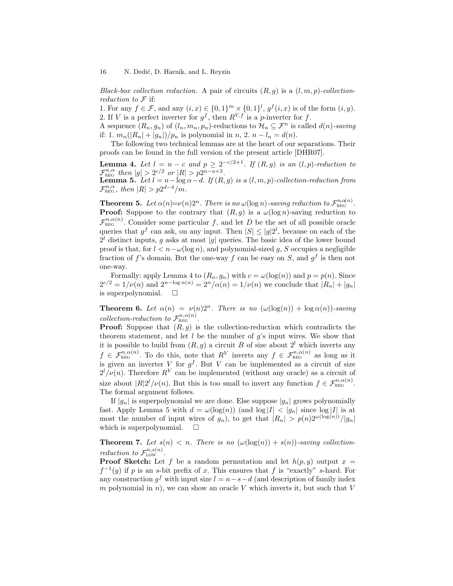Black-box collection reduction. A pair of circuits  $(R, g)$  is a  $(l, m, p)$ -collectionreduction to  $\mathcal F$  if:

1. For any  $f \in \mathcal{F}$ , and any  $(i, x) \in \{0, 1\}^m \times \{0, 1\}^l$ ,  $g^f(i, x)$  is of the form  $(i, y)$ . 2. If V is a perfect inverter for  $g^f$ , then  $R^{V,f}$  is a p-inverter for f.

A sequence  $(R_n, g_n)$  of  $(l_n, m_n, p_n)$ -reductions to  $\mathcal{H}_n \subseteq \mathcal{F}^n$  is called  $d(n)$ -saving if: 1.  $m_n(|R_n| + |g_n|)/p_n$  is polynomial in n, 2.  $n - l_n = d(n)$ .

The following two technical lemmas are at the heart of our separations. Their proofs can be found in the full version of the present article [DHR07].

**Lemma 4.** Let  $l = n - c$  and  $p \geq 2^{-c/2+1}$ . If  $(R, g)$  is an  $(l, p)$ -reduction to  $\mathcal{F}_{\text{REG}}^{n,\alpha}$  then  $|g| > 2^{c/2}$  or  $|R| > p2^{n-a+3}$ . **Lemma 5.** Let  $l = n - \log \alpha - d$ . If  $(R, g)$  is a  $(l, m, p)$ -collection-reduction from  $\mathcal{F}_{\text{REG}}^{n,\alpha}$ , then  $|R| > p2^{d-4}/m$ .

**Theorem 5.** Let  $\alpha(n)=\nu(n)2^n$ . There is no  $\omega(\log n)$ -saving reduction to  $\mathcal{F}_{\text{REG}}^{n,\alpha(n)}$ . **Proof:** Suppose to the contrary that  $(R, g)$  is a  $\omega(\log n)$ -saving reduction to  $\mathcal{F}_{\text{\tiny REG}}^{n,\alpha(n)}$ . Consider some particular f, and let D be the set of all possible oracle queries that  $g^f$  can ask, on any input. Then  $|S| \le |g|2^l$ , because on each of the  $2<sup>l</sup>$  distinct inputs, g asks at most |g| queries. The basic idea of the lower bound proof is that, for  $l < n - \omega(\log n)$ , and polynomial-sized q, S occupies a negligible fraction of f's domain. But the one-way f can be easy on S, and  $g^f$  is then not one-way.

Formally: apply Lemma 4 to  $(R_n, g_n)$  with  $c = \omega(\log(n))$  and  $p = p(n)$ . Since  $2^{c/2} = 1/\nu(n)$  and  $2^{n-\log \alpha(n)} = 2^n/\alpha(n) = 1/\nu(n)$  we conclude that  $|R_n| + |g_n|$ is superpolynomial.  $\square$ 

**Theorem 6.** Let  $\alpha(n) = \nu(n)2^n$ . There is no  $(\omega(\log(n)) + \log \alpha(n))$ -saving collection-reduction to  $\mathcal{F}_{\text{REG}}^{n,\alpha(n)}$ .

**Proof:** Suppose that  $(R, g)$  is the collection-reduction which contradicts the theorem statement, and let  $l$  be the number of  $g$ 's input wires. We show that it is possible to build from  $(R, g)$  a circuit B of size about  $2<sup>l</sup>$  which inverts any  $f \in \mathcal{F}_{\text{REG}}^{n,\alpha(n)}$ . To do this, note that  $R^V$  inverts any  $f \in \mathcal{F}_{\text{REG}}^{n,\alpha(n)}$  as long as it is given an inverter V for  $g^f$ . But V can be implemented as a circuit of size  $2^{l}/\nu(n)$ . Therefore  $R^{V}$  can be implemented (without any oracle) as a circuit of size about  $|R|2^{l}/\nu(n)$ . But this is too small to invert any function  $f \in \mathcal{F}_{\text{REG}}^{n,\alpha(n)}$ . The formal argument follows.

If  $|g_n|$  is superpolynomial we are done. Else suppose  $|g_n|$  grows polynomially fast. Apply Lemma 5 with  $d = \omega(\log(n))$  (and  $\log|I| < |g_n|$  since  $\log|I|$  is at most the number of input wires of  $g_n$ ), to get that  $|R_n| > p(n)2^{\omega(\log(n))}/|g_n|$ which is superpolynomial.  $\square$ 

**Theorem 7.** Let  $s(n) < n$ . There is no  $(\omega(\log(n)) + s(n))$ -saving collectionreduction to  $\mathcal{F}_{\text{Low}}^{n,s(n)}$ .

**Proof Sketch:** Let f be a random permutation and let  $h(p, y)$  output  $x =$  $f^{-1}(y)$  if p is an s-bit prefix of x. This ensures that f is "exactly" s-hard. For any construction  $g^f$  with input size  $l = n - s - d$  (and description of family index m polynomial in n), we can show an oracle V which inverts it, but such that  $V$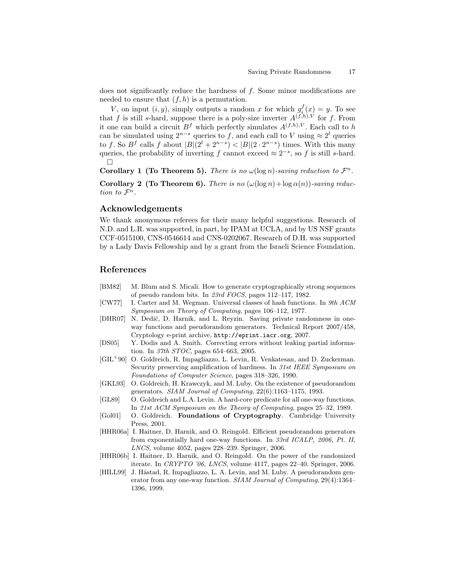does not significantly reduce the hardness of  $f$ . Some minor modifications are needed to ensure that  $(f, h)$  is a permutation.

V, on input  $(i, y)$ , simply outputs a random x for which  $g_i^f(x) = y$ . To see that f is still s-hard, suppose there is a poly-size inverter  $A^{(f,h),V}$  for f. From it one can build a circuit  $B^f$  which perfectly simulates  $A^{(f,h),V}$ . Each call to h can be simulated using  $2^{n-s}$  queries to f, and each call to V using  $\approx 2^l$  queries to f. So  $B<sup>f</sup>$  calls f about  $|B|(2^l + 2^{n-s}) < |B|(2 \cdot 2^{n-s})$  times. With this many queries, the probability of inverting f cannot exceed  $\approx 2^{-s}$ , so f is still s-hard.  $\Box$ 

Corollary 1 (To Theorem 5). There is no  $\omega(\log n)$ -saving reduction to  $\mathcal{F}^n$ .

Corollary 2 (To Theorem 6). There is no  $(\omega(\log n) + \log \alpha(n))$ -saving reduction to  $\mathcal{F}^n$ .

# Acknowledgements

We thank anonymous referees for their many helpful suggestions. Research of N.D. and L.R. was supported, in part, by IPAM at UCLA, and by US NSF grants CCF-0515100, CNS-0546614 and CNS-0202067. Research of D.H. was supported by a Lady Davis Fellowship and by a grant from the Israeli Science Foundation.

# References

- [BM82] M. Blum and S. Micali. How to generate cryptographically strong sequences of pseudo random bits. In 23rd FOCS, pages 112–117, 1982.
- [CW77] I. Carter and M. Wegman. Universal classes of hash functions. In 9th ACM Symposium on Theory of Computing, pages 106–112, 1977.
- [DHR07] N. Dedić, D. Harnik, and L. Reyzin. Saving private randomness in oneway functions and pseudorandom generators. Technical Report 2007/458, Cryptology e-print archive, http://eprint.iacr.org, 2007.
- [DS05] Y. Dodis and A. Smith. Correcting errors without leaking partial information. In 37th STOC, pages 654–663, 2005.
- [GIL<sup>+</sup>90] O. Goldreich, R. Impagliazzo, L. Levin, R. Venkatesan, and D. Zuckerman. Security preserving amplification of hardness. In 31st IEEE Symposium on Foundations of Computer Science, pages 318–326, 1990.
- [GKL93] O. Goldreich, H. Krawczyk, and M. Luby. On the existence of pseudorandom generators. SIAM Journal of Computing, 22(6):1163–1175, 1993.
- [GL89] O. Goldreich and L.A. Levin. A hard-core predicate for all one-way functions. In 21st ACM Symposium on the Theory of Computing, pages 25–32, 1989.
- [Gol01] O. Goldreich. Foundations of Cryptography. Cambridge University Press, 2001.
- [HHR06a] I. Haitner, D. Harnik, and O. Reingold. Efficient pseudorandom generators from exponentially hard one-way functions. In 33rd ICALP, 2006, Pt. II, LNCS, volume 4052, pages 228–239. Springer, 2006.
- [HHR06b] I. Haitner, D. Harnik, and O. Reingold. On the power of the randomized iterate. In CRYPTO '06, LNCS, volume 4117, pages 22–40. Springer, 2006.
- [HILL99] J. Håstad, R. Impagliazzo, L. A. Levin, and M. Luby. A pseudorandom generator from any one-way function. SIAM Journal of Computing, 29(4):1364– 1396, 1999.